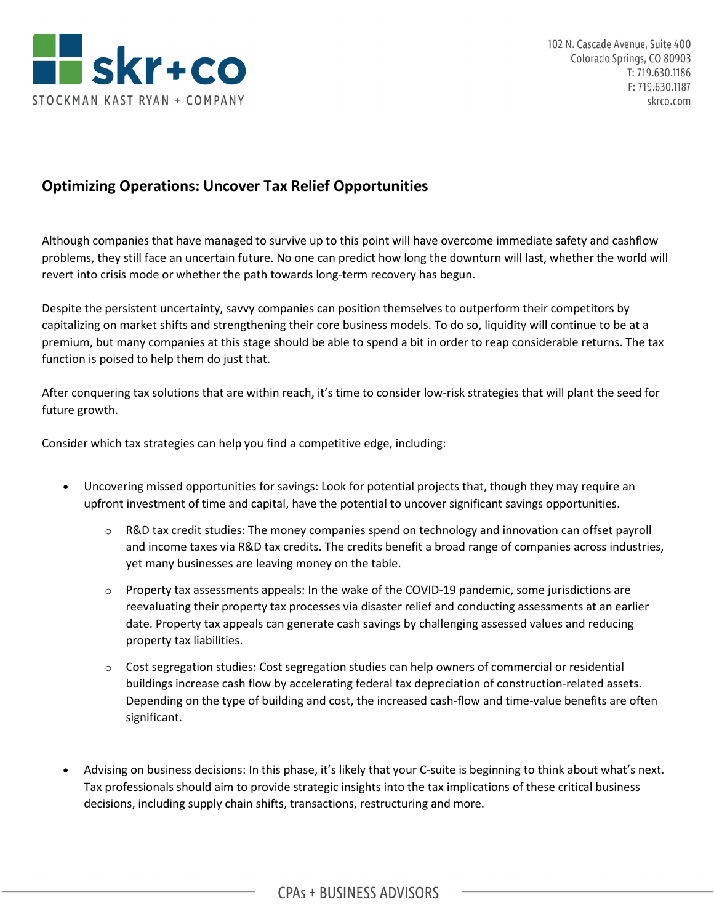

## **Optimizing Operations: Uncover Tax Relief Opportunities**

Although companies that have managed to survive up to this point will have overcome immediate safety and cashflow problems, they still face an uncertain future. No one can predict how long the downturn will last, whether the world will revert into crisis mode or whether the path towards long-term recovery has begun.

Despite the persistent uncertainty, savvy companies can position themselves to outperform their competitors by capitalizing on market shifts and strengthening their core business models. To do so, liquidity will continue to be at a premium, but many companies at this stage should be able to spend a bit in order to reap considerable returns. The tax function is poised to help them do just that.

After conquering tax solutions that are within reach, it's time to consider low-risk strategies that will plant the seed for future growth.

Consider which tax strategies can help you find a competitive edge, including:

- Uncovering missed opportunities for savings: Look for potential projects that, though they may require an upfront investment of time and capital, have the potential to uncover significant savings opportunities.
	- $\circ$  R&D tax credit studies: The money companies spend on technology and innovation can offset payroll and income taxes via R&D tax credits. The credits benefit a broad range of companies across industries, yet many businesses are leaving money on the table.
	- o Property tax assessments appeals: In the wake of the COVID-19 pandemic, some jurisdictions are reevaluating their property tax processes via disaster relief and conducting assessments at an earlier date. Property tax appeals can generate cash savings by challenging assessed values and reducing property tax liabilities.
	- o Cost segregation studies: Cost segregation studies can help owners of commercial or residential buildings increase cash flow by accelerating federal tax depreciation of construction-related assets. Depending on the type of building and cost, the increased cash-flow and time-value benefits are often significant.
- Advising on business decisions: In this phase, it's likely that your C-suite is beginning to think about what's next. Tax professionals should aim to provide strategic insights into the tax implications of these critical business decisions, including supply chain shifts, transactions, restructuring and more.